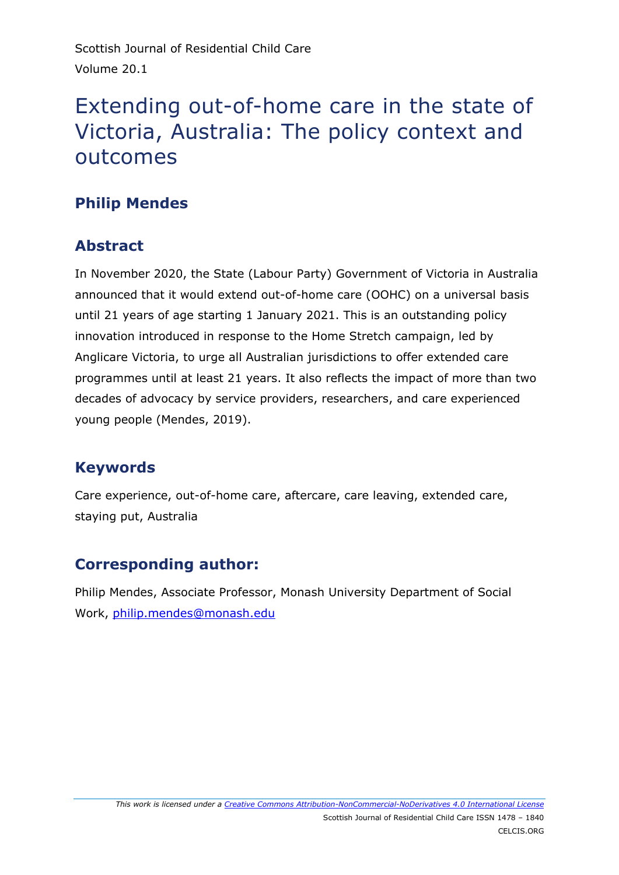Scottish Journal of Residential Child Care Volume 20.1

# Extending out-of-home care in the state of Victoria, Australia: The policy context and outcomes

## **Philip Mendes**

## **Abstract**

In November 2020, the State (Labour Party) Government of Victoria in Australia announced that it would extend out-of-home care (OOHC) on a universal basis until 21 years of age starting 1 January 2021. This is an outstanding policy innovation introduced in response to the Home Stretch campaign, led by Anglicare Victoria, to urge all Australian jurisdictions to offer extended care programmes until at least 21 years. It also reflects the impact of more than two decades of advocacy by service providers, researchers, and care experienced young people (Mendes, 2019).

## **Keywords**

Care experience, out-of-home care, aftercare, care leaving, extended care, staying put, Australia

## **Corresponding author:**

Philip Mendes, Associate Professor, Monash University Department of Social Work, [philip.mendes@monash.edu](mailto:philip.mendes@monash.edu)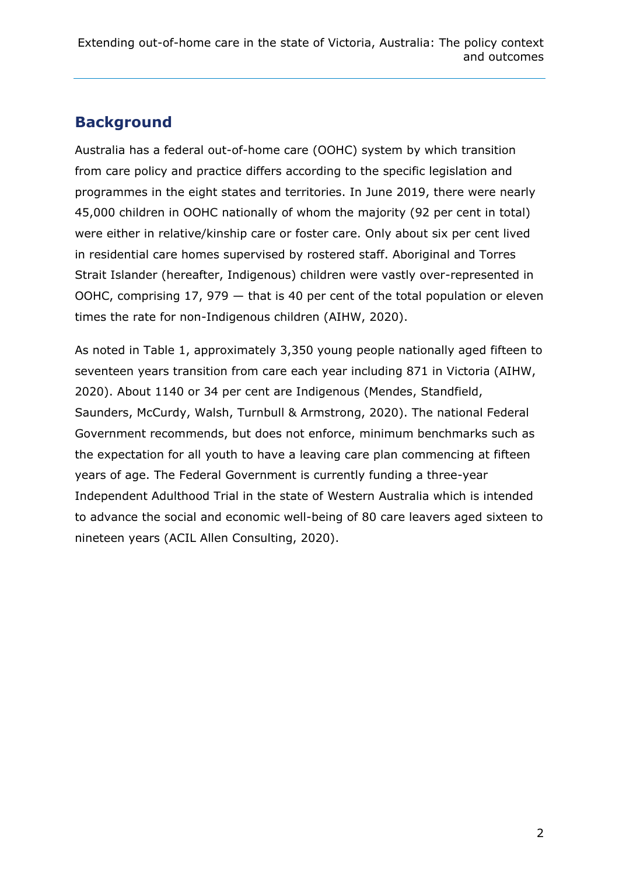## **Background**

Australia has a federal out-of-home care (OOHC) system by which transition from care policy and practice differs according to the specific legislation and programmes in the eight states and territories. In June 2019, there were nearly 45,000 children in OOHC nationally of whom the majority (92 per cent in total) were either in relative/kinship care or foster care. Only about six per cent lived in residential care homes supervised by rostered staff. Aboriginal and Torres Strait Islander (hereafter, Indigenous) children were vastly over-represented in OOHC, comprising 17, 979 — that is 40 per cent of the total population or eleven times the rate for non-Indigenous children (AIHW, 2020).

As noted in Table 1, approximately 3,350 young people nationally aged fifteen to seventeen years transition from care each year including 871 in Victoria (AIHW, 2020). About 1140 or 34 per cent are Indigenous (Mendes, Standfield, Saunders, McCurdy, Walsh, Turnbull & Armstrong, 2020). The national Federal Government recommends, but does not enforce, minimum benchmarks such as the expectation for all youth to have a leaving care plan commencing at fifteen years of age. The Federal Government is currently funding a three-year Independent Adulthood Trial in the state of Western Australia which is intended to advance the social and economic well-being of 80 care leavers aged sixteen to nineteen years (ACIL Allen Consulting, 2020).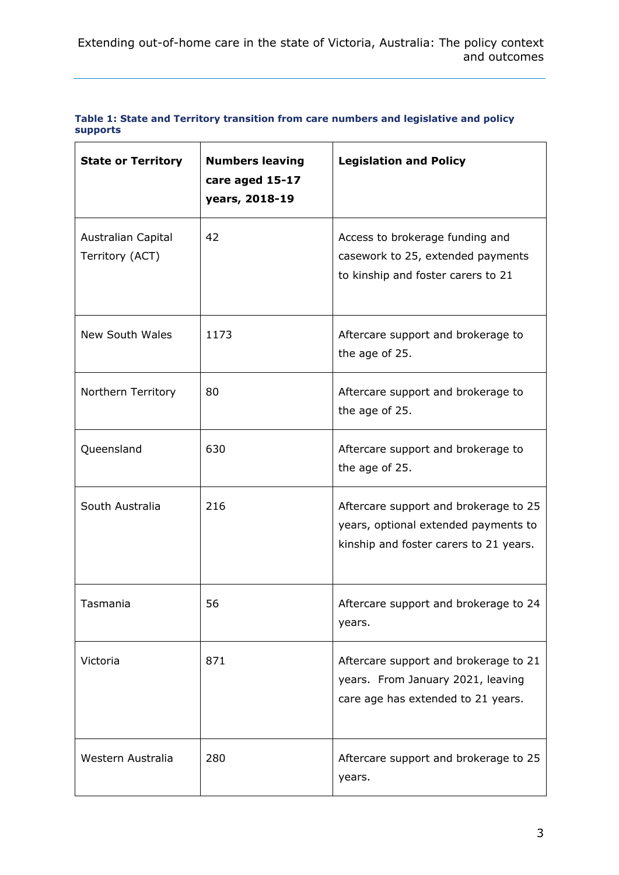| Table 1: State and Territory transition from care numbers and legislative and policy |  |
|--------------------------------------------------------------------------------------|--|
| supports                                                                             |  |

| <b>State or Territory</b>             | <b>Numbers leaving</b><br>care aged 15-17<br>years, 2018-19 | <b>Legislation and Policy</b>                                                                                           |
|---------------------------------------|-------------------------------------------------------------|-------------------------------------------------------------------------------------------------------------------------|
| Australian Capital<br>Territory (ACT) | 42                                                          | Access to brokerage funding and<br>casework to 25, extended payments<br>to kinship and foster carers to 21              |
| <b>New South Wales</b>                | 1173                                                        | Aftercare support and brokerage to<br>the age of 25.                                                                    |
| Northern Territory                    | 80                                                          | Aftercare support and brokerage to<br>the age of 25.                                                                    |
| Queensland                            | 630                                                         | Aftercare support and brokerage to<br>the age of 25.                                                                    |
| South Australia                       | 216                                                         | Aftercare support and brokerage to 25<br>years, optional extended payments to<br>kinship and foster carers to 21 years. |
| Tasmania                              | 56                                                          | Aftercare support and brokerage to 24<br>years.                                                                         |
| Victoria                              | 871                                                         | Aftercare support and brokerage to 21<br>years. From January 2021, leaving<br>care age has extended to 21 years.        |
| Western Australia                     | 280                                                         | Aftercare support and brokerage to 25<br>years.                                                                         |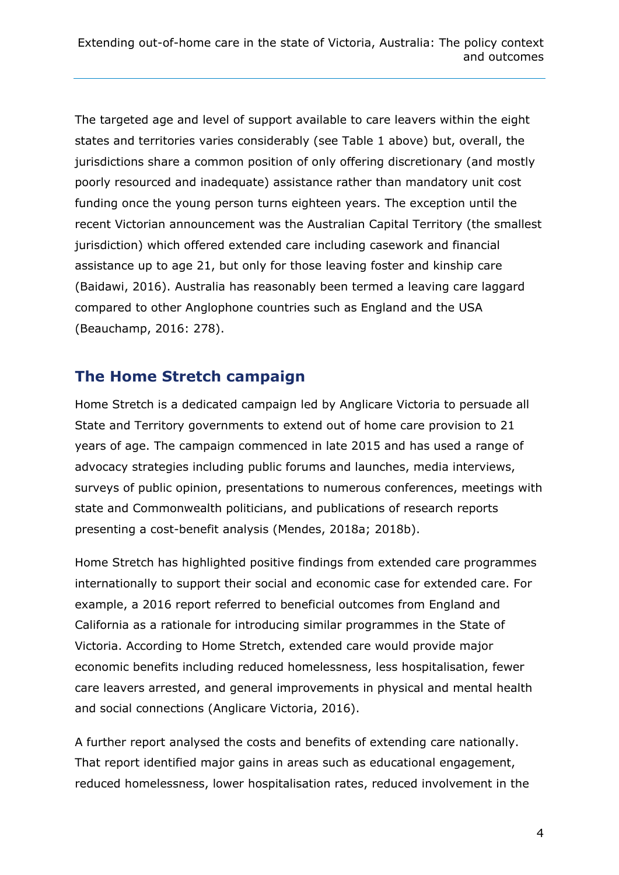The targeted age and level of support available to care leavers within the eight states and territories varies considerably (see Table 1 above) but, overall, the jurisdictions share a common position of only offering discretionary (and mostly poorly resourced and inadequate) assistance rather than mandatory unit cost funding once the young person turns eighteen years. The exception until the recent Victorian announcement was the Australian Capital Territory (the smallest jurisdiction) which offered extended care including casework and financial assistance up to age 21, but only for those leaving foster and kinship care (Baidawi, 2016). Australia has reasonably been termed a leaving care laggard compared to other Anglophone countries such as England and the USA (Beauchamp, 2016: 278).

#### **The Home Stretch campaign**

Home Stretch is a dedicated campaign led by Anglicare Victoria to persuade all State and Territory governments to extend out of home care provision to 21 years of age. The campaign commenced in late 2015 and has used a range of advocacy strategies including public forums and launches, media interviews, surveys of public opinion, presentations to numerous conferences, meetings with state and Commonwealth politicians, and publications of research reports presenting a cost-benefit analysis (Mendes, 2018a; 2018b).

Home Stretch has highlighted positive findings from extended care programmes internationally to support their social and economic case for extended care. For example, a 2016 report referred to beneficial outcomes from England and California as a rationale for introducing similar programmes in the State of Victoria. According to Home Stretch, extended care would provide major economic benefits including reduced homelessness, less hospitalisation, fewer care leavers arrested, and general improvements in physical and mental health and social connections (Anglicare Victoria, 2016).

A further report analysed the costs and benefits of extending care nationally. That report identified major gains in areas such as educational engagement, reduced homelessness, lower hospitalisation rates, reduced involvement in the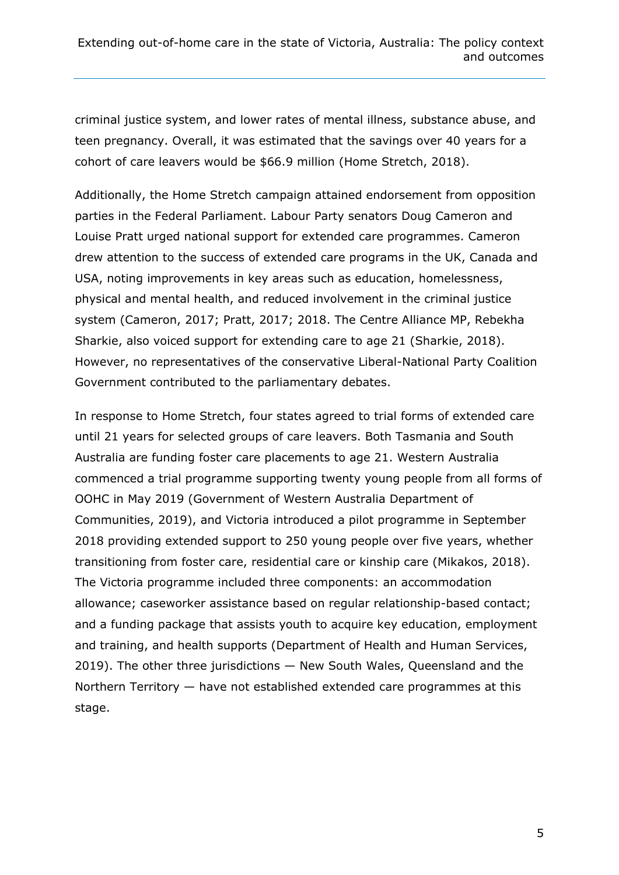criminal justice system, and lower rates of mental illness, substance abuse, and teen pregnancy. Overall, it was estimated that the savings over 40 years for a cohort of care leavers would be \$66.9 million (Home Stretch, 2018).

Additionally, the Home Stretch campaign attained endorsement from opposition parties in the Federal Parliament. Labour Party senators Doug Cameron and Louise Pratt urged national support for extended care programmes. Cameron drew attention to the success of extended care programs in the UK, Canada and USA, noting improvements in key areas such as education, homelessness, physical and mental health, and reduced involvement in the criminal justice system (Cameron, 2017; Pratt, 2017; 2018. The Centre Alliance MP, Rebekha Sharkie, also voiced support for extending care to age 21 (Sharkie, 2018). However, no representatives of the conservative Liberal-National Party Coalition Government contributed to the parliamentary debates.

In response to Home Stretch, four states agreed to trial forms of extended care until 21 years for selected groups of care leavers. Both Tasmania and South Australia are funding foster care placements to age 21. Western Australia commenced a trial programme supporting twenty young people from all forms of OOHC in May 2019 (Government of Western Australia Department of Communities, 2019), and Victoria introduced a pilot programme in September 2018 providing extended support to 250 young people over five years, whether transitioning from foster care, residential care or kinship care (Mikakos, 2018). The Victoria programme included three components: an accommodation allowance; caseworker assistance based on regular relationship-based contact; and a funding package that assists youth to acquire key education, employment and training, and health supports (Department of Health and Human Services, 2019). The other three jurisdictions — New South Wales, Queensland and the Northern Territory — have not established extended care programmes at this stage.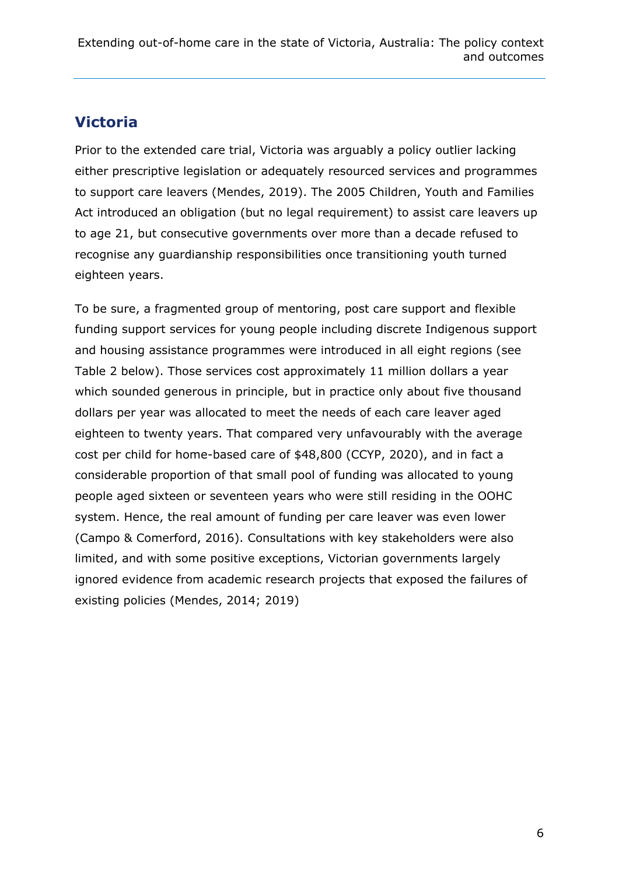#### **Victoria**

Prior to the extended care trial, Victoria was arguably a policy outlier lacking either prescriptive legislation or adequately resourced services and programmes to support care leavers (Mendes, 2019). The 2005 Children, Youth and Families Act introduced an obligation (but no legal requirement) to assist care leavers up to age 21, but consecutive governments over more than a decade refused to recognise any guardianship responsibilities once transitioning youth turned eighteen years.

To be sure, a fragmented group of mentoring, post care support and flexible funding support services for young people including discrete Indigenous support and housing assistance programmes were introduced in all eight regions (see Table 2 below). Those services cost approximately 11 million dollars a year which sounded generous in principle, but in practice only about five thousand dollars per year was allocated to meet the needs of each care leaver aged eighteen to twenty years. That compared very unfavourably with the average cost per child for home-based care of \$48,800 (CCYP, 2020), and in fact a considerable proportion of that small pool of funding was allocated to young people aged sixteen or seventeen years who were still residing in the OOHC system. Hence, the real amount of funding per care leaver was even lower (Campo & Comerford, 2016). Consultations with key stakeholders were also limited, and with some positive exceptions, Victorian governments largely ignored evidence from academic research projects that exposed the failures of existing policies (Mendes, 2014; 2019)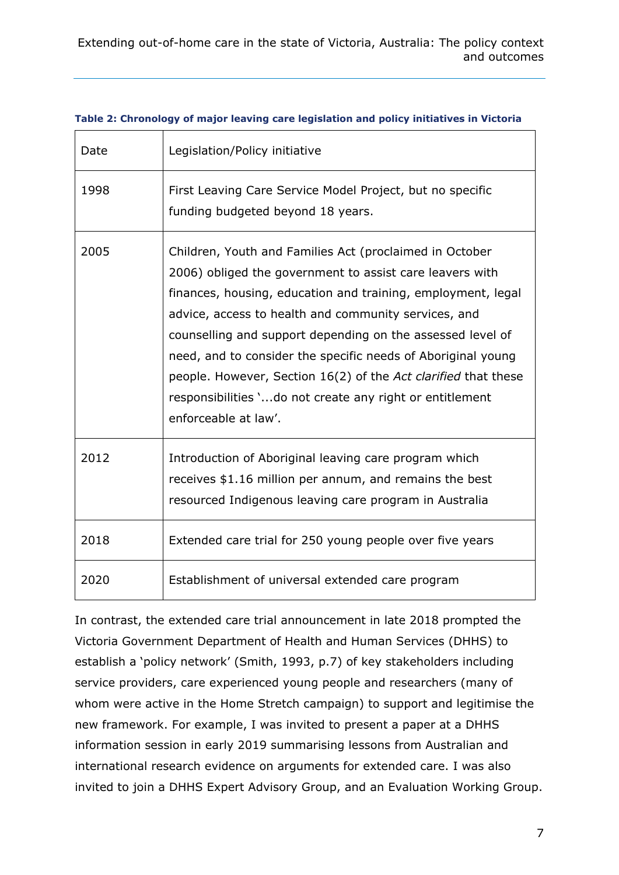| Date | Legislation/Policy initiative                                                                                                                                                                                                                                                                                                                                                                                                                                                                                                   |
|------|---------------------------------------------------------------------------------------------------------------------------------------------------------------------------------------------------------------------------------------------------------------------------------------------------------------------------------------------------------------------------------------------------------------------------------------------------------------------------------------------------------------------------------|
| 1998 | First Leaving Care Service Model Project, but no specific<br>funding budgeted beyond 18 years.                                                                                                                                                                                                                                                                                                                                                                                                                                  |
| 2005 | Children, Youth and Families Act (proclaimed in October<br>2006) obliged the government to assist care leavers with<br>finances, housing, education and training, employment, legal<br>advice, access to health and community services, and<br>counselling and support depending on the assessed level of<br>need, and to consider the specific needs of Aboriginal young<br>people. However, Section 16(2) of the Act clarified that these<br>responsibilities 'do not create any right or entitlement<br>enforceable at law'. |
| 2012 | Introduction of Aboriginal leaving care program which<br>receives \$1.16 million per annum, and remains the best<br>resourced Indigenous leaving care program in Australia                                                                                                                                                                                                                                                                                                                                                      |
| 2018 | Extended care trial for 250 young people over five years                                                                                                                                                                                                                                                                                                                                                                                                                                                                        |
| 2020 | Establishment of universal extended care program                                                                                                                                                                                                                                                                                                                                                                                                                                                                                |

#### **Table 2: Chronology of major leaving care legislation and policy initiatives in Victoria**

In contrast, the extended care trial announcement in late 2018 prompted the Victoria Government Department of Health and Human Services (DHHS) to establish a 'policy network' (Smith, 1993, p.7) of key stakeholders including service providers, care experienced young people and researchers (many of whom were active in the Home Stretch campaign) to support and legitimise the new framework. For example, I was invited to present a paper at a DHHS information session in early 2019 summarising lessons from Australian and international research evidence on arguments for extended care. I was also invited to join a DHHS Expert Advisory Group, and an Evaluation Working Group.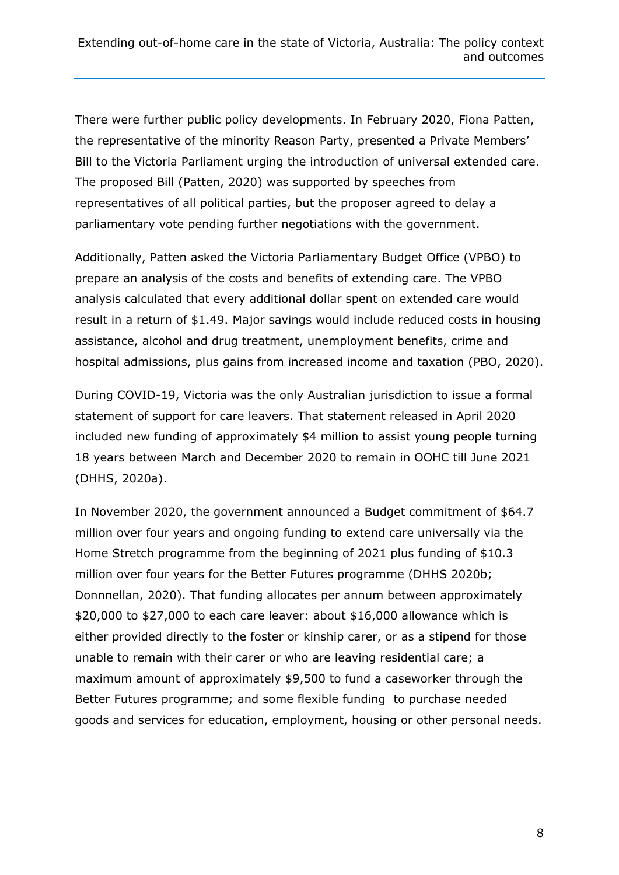There were further public policy developments. In February 2020, Fiona Patten, the representative of the minority Reason Party, presented a Private Members' Bill to the Victoria Parliament urging the introduction of universal extended care. The proposed Bill (Patten, 2020) was supported by speeches from representatives of all political parties, but the proposer agreed to delay a parliamentary vote pending further negotiations with the government.

Additionally, Patten asked the Victoria Parliamentary Budget Office (VPBO) to prepare an analysis of the costs and benefits of extending care. The VPBO analysis calculated that every additional dollar spent on extended care would result in a return of \$1.49. Major savings would include reduced costs in housing assistance, alcohol and drug treatment, unemployment benefits, crime and hospital admissions, plus gains from increased income and taxation (PBO, 2020).

During COVID-19, Victoria was the only Australian jurisdiction to issue a formal statement of support for care leavers. That statement released in April 2020 included new funding of approximately \$4 million to assist young people turning 18 years between March and December 2020 to remain in OOHC till June 2021 (DHHS, 2020a).

In November 2020, the government announced a Budget commitment of \$64.7 million over four years and ongoing funding to extend care universally via the Home Stretch programme from the beginning of 2021 plus funding of \$10.3 million over four years for the Better Futures programme (DHHS 2020b; Donnnellan, 2020). That funding allocates per annum between approximately \$20,000 to \$27,000 to each care leaver: about \$16,000 allowance which is either provided directly to the foster or kinship carer, or as a stipend for those unable to remain with their carer or who are leaving residential care; a maximum amount of approximately \$9,500 to fund a caseworker through the Better Futures programme; and some flexible funding to purchase needed goods and services for education, employment, housing or other personal needs.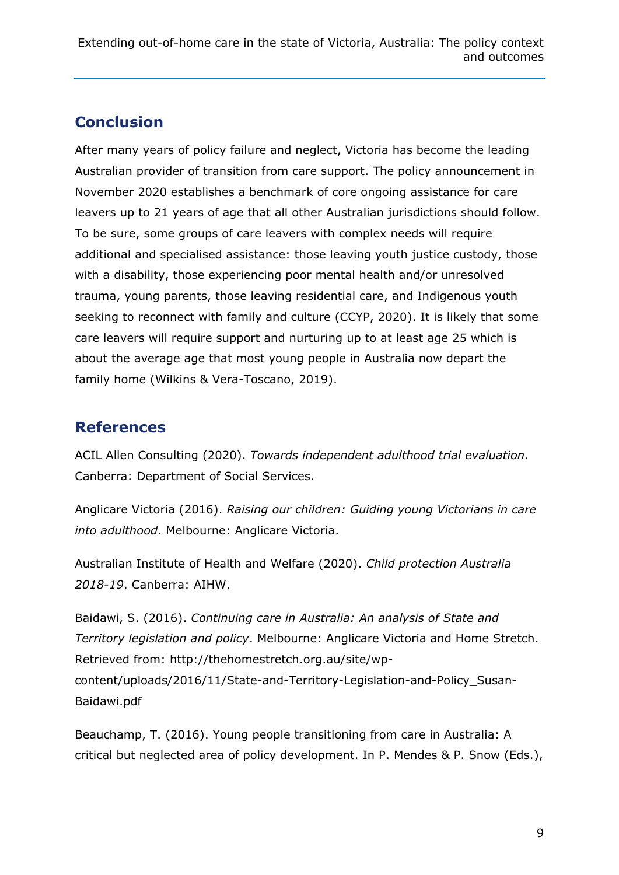## **Conclusion**

After many years of policy failure and neglect, Victoria has become the leading Australian provider of transition from care support. The policy announcement in November 2020 establishes a benchmark of core ongoing assistance for care leavers up to 21 years of age that all other Australian jurisdictions should follow. To be sure, some groups of care leavers with complex needs will require additional and specialised assistance: those leaving youth justice custody, those with a disability, those experiencing poor mental health and/or unresolved trauma, young parents, those leaving residential care, and Indigenous youth seeking to reconnect with family and culture (CCYP, 2020). It is likely that some care leavers will require support and nurturing up to at least age 25 which is about the average age that most young people in Australia now depart the family home (Wilkins & Vera-Toscano, 2019).

### **References**

ACIL Allen Consulting (2020). *Towards independent adulthood trial evaluation*. Canberra: Department of Social Services.

Anglicare Victoria (2016). *Raising our children: Guiding young Victorians in care into adulthood*. Melbourne: Anglicare Victoria.

Australian Institute of Health and Welfare (2020). *Child protection Australia 2018-19*. Canberra: AIHW.

Baidawi, S. (2016). *Continuing care in Australia: An analysis of State and Territory legislation and policy*. Melbourne: Anglicare Victoria and Home Stretch. Retrieved from: http://thehomestretch.org.au/site/wpcontent/uploads/2016/11/State-and-Territory-Legislation-and-Policy\_Susan-Baidawi.pdf

Beauchamp, T. (2016). Young people transitioning from care in Australia: A critical but neglected area of policy development. In P. Mendes & P. Snow (Eds.),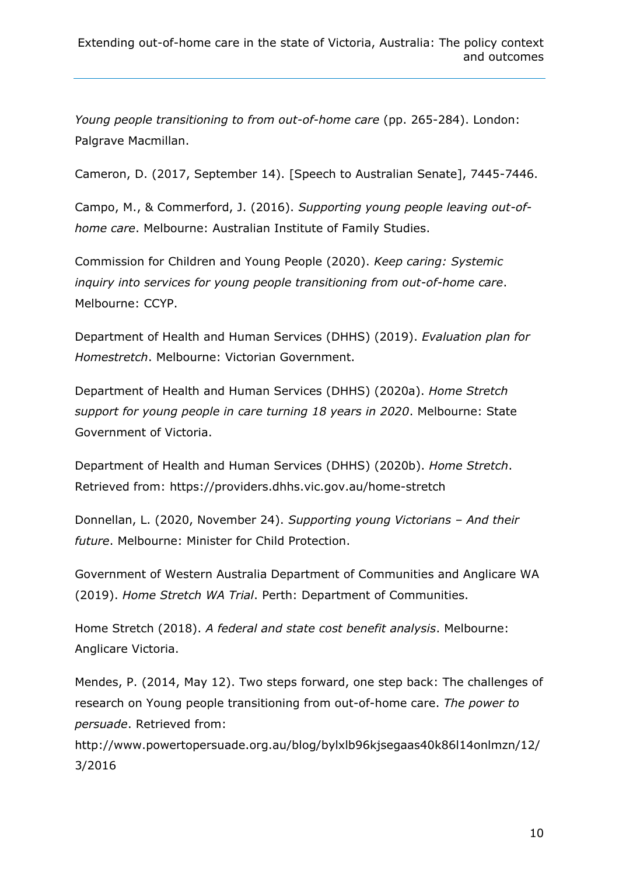*Young people transitioning to from out-of-home care (pp. 265-284). London:* Palgrave Macmillan.

Cameron, D. (2017, September 14). [Speech to Australian Senate], 7445-7446.

Campo, M., & Commerford, J. (2016). *Supporting young people leaving out-ofhome care*. Melbourne: Australian Institute of Family Studies.

Commission for Children and Young People (2020). *Keep caring: Systemic inquiry into services for young people transitioning from out-of-home care*. Melbourne: CCYP.

Department of Health and Human Services (DHHS) (2019). *Evaluation plan for Homestretch*. Melbourne: Victorian Government.

Department of Health and Human Services (DHHS) (2020a). *Home Stretch support for young people in care turning 18 years in 2020*. Melbourne: State Government of Victoria.

Department of Health and Human Services (DHHS) (2020b). *Home Stretch*. Retrieved from: https://providers.dhhs.vic.gov.au/home-stretch

Donnellan, L. (2020, November 24). *Supporting young Victorians – And their future*. Melbourne: Minister for Child Protection.

Government of Western Australia Department of Communities and Anglicare WA (2019). *Home Stretch WA Trial*. Perth: Department of Communities.

Home Stretch (2018). *A federal and state cost benefit analysis*. Melbourne: Anglicare Victoria.

Mendes, P. (2014, May 12). Two steps forward, one step back: The challenges of research on Young people transitioning from out-of-home care. *The power to persuade*. Retrieved from:

http://www.powertopersuade.org.au/blog/bylxlb96kjsegaas40k86l14onlmzn/12/ 3/2016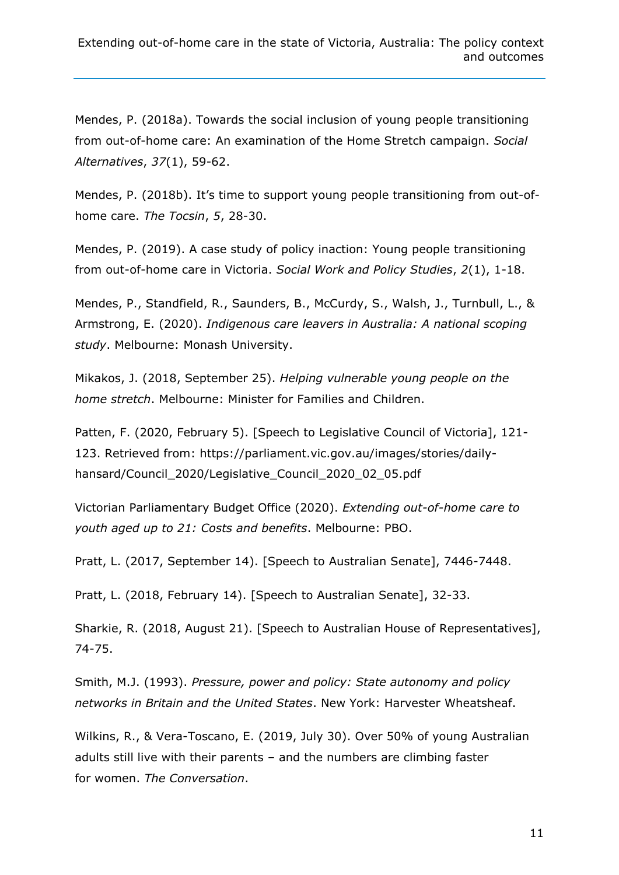Mendes, P. (2018a). Towards the social inclusion of young people transitioning from out-of-home care: An examination of the Home Stretch campaign. *Social Alternatives*, *37*(1), 59-62.

Mendes, P. (2018b). It's time to support young people transitioning from out-ofhome care. *The Tocsin*, *5*, 28-30.

Mendes, P. (2019). A case study of policy inaction: Young people transitioning from out-of-home care in Victoria. *Social Work and Policy Studies*, *2*(1), 1-18.

Mendes, P., Standfield, R., Saunders, B., McCurdy, S., Walsh, J., Turnbull, L., & Armstrong, E. (2020). *Indigenous care leavers in Australia: A national scoping study*. Melbourne: Monash University.

Mikakos, J. (2018, September 25). *Helping vulnerable young people on the home stretch*. Melbourne: Minister for Families and Children.

Patten, F. (2020, February 5). [Speech to Legislative Council of Victoria], 121- 123. Retrieved from: https://parliament.vic.gov.au/images/stories/dailyhansard/Council\_2020/Legislative\_Council\_2020\_02\_05.pdf

Victorian Parliamentary Budget Office (2020). *Extending out-of-home care to youth aged up to 21: Costs and benefits*. Melbourne: PBO.

Pratt, L. (2017, September 14). [Speech to Australian Senate], 7446-7448.

Pratt, L. (2018, February 14). [Speech to Australian Senate], 32-33.

Sharkie, R. (2018, August 21). [Speech to Australian House of Representatives], 74-75.

Smith, M.J. (1993). *Pressure, power and policy: State autonomy and policy networks in Britain and the United States*. New York: Harvester Wheatsheaf.

Wilkins, R., & Vera-Toscano, E. (2019, July 30). Over 50% of young Australian adults still live with their parents – and the numbers are climbing faster for women. *The Conversation*.